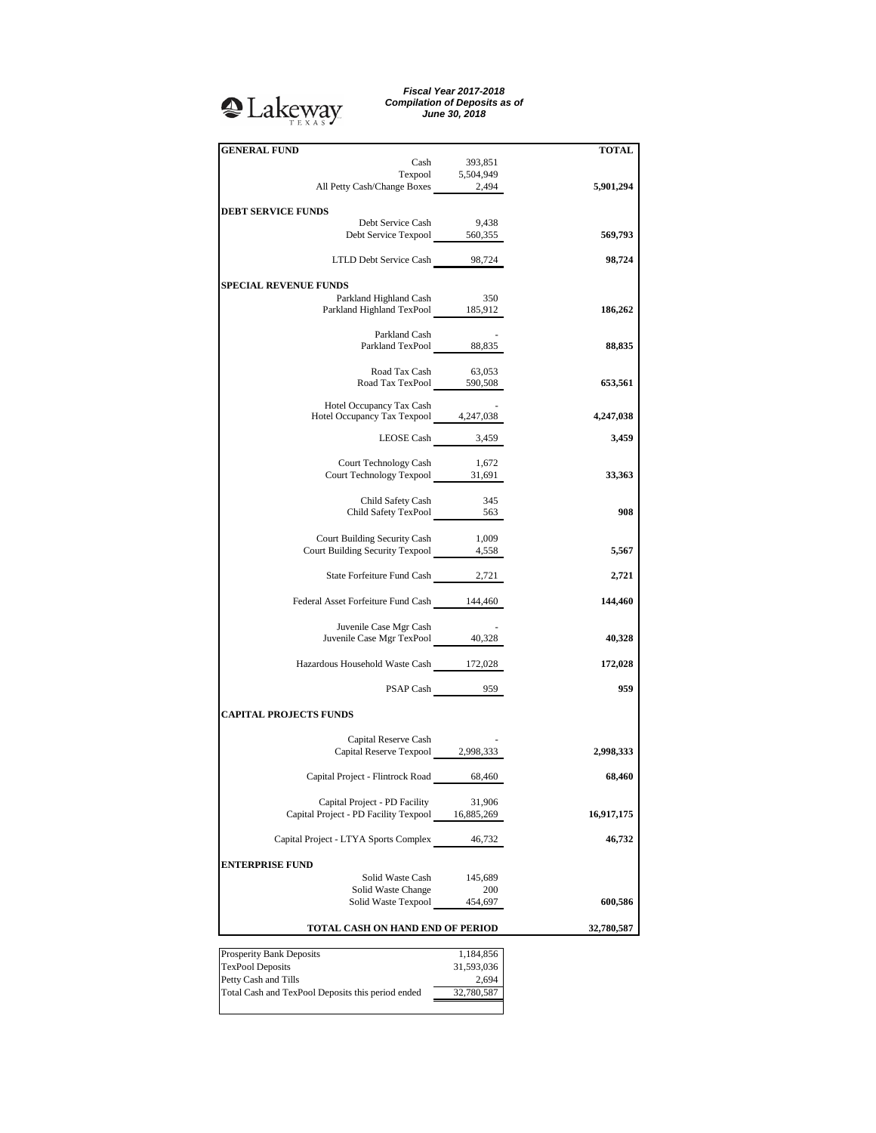## **A**Lakeway

*Fiscal Year 2017-2018 Compilation of Deposits as of June 30, 2018*

| <b>GENERAL FUND</b>                                                    |                  |            |
|------------------------------------------------------------------------|------------------|------------|
|                                                                        | 393,851          | TOTAL      |
| Cash                                                                   |                  |            |
| Texpool 5,504,949<br>All Petty Cash/Change Boxes 2,494                 |                  |            |
|                                                                        |                  | 5,901,294  |
| <b>DEBT SERVICE FUNDS</b>                                              |                  |            |
| Debt Service Cash                                                      | 9,438            |            |
| Debt Service Texpool 560,355                                           |                  | 569,793    |
|                                                                        |                  |            |
| LTLD Debt Service Cash 98,724                                          |                  | 98,724     |
|                                                                        |                  |            |
| <b>SPECIAL REVENUE FUNDS</b>                                           |                  |            |
|                                                                        | 350              |            |
| Parkland Highland Cash                                                 |                  |            |
| Parkland Highland TexPool 185,912                                      |                  | 186,262    |
| Parkland Cash                                                          |                  |            |
| Parkland TexPool 88,835                                                |                  | 88,835     |
|                                                                        |                  |            |
| Road Tax Cash                                                          | 63,053           |            |
| Road Tax TexPool 590,508                                               |                  | 653,561    |
|                                                                        |                  |            |
| Hotel Occupancy Tax Cash                                               |                  |            |
| Hotel Occupancy Tax Texpool 4,247,038                                  |                  | 4,247,038  |
|                                                                        |                  |            |
|                                                                        | LEOSE Cash 3,459 | 3,459      |
|                                                                        |                  |            |
| Court Technology Cash                                                  | 1,672            |            |
| Court Technology Texpool 31,691                                        |                  | 33,363     |
|                                                                        |                  |            |
| Child Safety Cash<br>Child Safety Cash 345<br>Child Safety TexPool 563 | 345              |            |
|                                                                        |                  | 908        |
|                                                                        |                  |            |
| Court Building Security Cash                                           | 1,009            |            |
| Court Building Security Texpool 4,558                                  |                  | 5,567      |
|                                                                        |                  |            |
| State Forfeiture Fund Cash 2,721                                       |                  | 2,721      |
|                                                                        |                  |            |
| Federal Asset Forfeiture Fund Cash 144,460                             |                  | 144,460    |
|                                                                        |                  |            |
| Juvenile Case Mgr Cash<br>Juvenile Case Mgr TexPool 40,328             |                  |            |
|                                                                        |                  | 40,328     |
|                                                                        |                  |            |
| Hazardous Household Waste Cash 172,028                                 |                  | 172,028    |
|                                                                        |                  | 959        |
|                                                                        | PSAP Cash 959    |            |
| <b>CAPITAL PROJECTS FUNDS</b>                                          |                  |            |
|                                                                        |                  |            |
| Capital Reserve Cash                                                   |                  |            |
| Capital Reserve Texpool 2,998,333                                      |                  | 2,998,333  |
|                                                                        |                  |            |
| Capital Project - Flintrock Road 68,460                                |                  |            |
|                                                                        |                  | 68,460     |
| Capital Project - PD Facility                                          | 31,906           |            |
| Capital Project - PD Facility Texpool 16,885,269                       |                  | 16,917,175 |
|                                                                        |                  |            |
| Capital Project - LTYA Sports Complex 46,732                           |                  | 46,732     |
|                                                                        |                  |            |
| <b>ENTERPRISE FUND</b>                                                 |                  |            |
| Solid Waste Cash                                                       | 145,689          |            |
| Solid Waste Change                                                     | 200              |            |
| Solid Waste Texpool                                                    | 454,697          | 600,586    |
|                                                                        |                  |            |
| TOTAL CASH ON HAND END OF PERIOD                                       | 32,780,587       |            |
|                                                                        |                  |            |
| Prosperity Bank Deposits                                               | 1,184,856        |            |
| <b>TexPool Deposits</b>                                                | 31,593,036       |            |
| Petty Cash and Tills                                                   | 2,694            |            |
|                                                                        | 32,780,587       |            |